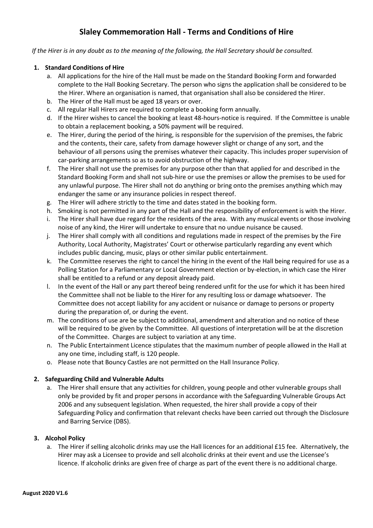# **Slaley Commemoration Hall - Terms and Conditions of Hire**

 *If the Hirer is in any doubt as to the meaning of the following, the Hall Secretary should be consulted.*

### **1. Standard Conditions of Hire**

- a. All applications for the hire of the Hall must be made on the Standard Booking Form and forwarded complete to the Hall Booking Secretary. The person who signs the application shall be considered to be the Hirer. Where an organisation is named, that organisation shall also be considered the Hirer.
- b. The Hirer of the Hall must be aged 18 years or over.
- c. All regular Hall Hirers are required to complete a booking form annually.
- d. If the Hirer wishes to cancel the booking at least 48-hours-notice is required. If the Committee is unable to obtain a replacement booking, a 50% payment will be required.
- e. The Hirer, during the period of the hiring, is responsible for the supervision of the premises, the fabric and the contents, their care, safety from damage however slight or change of any sort, and the behaviour of all persons using the premises whatever their capacity. This includes proper supervision of car-parking arrangements so as to avoid obstruction of the highway.
- f. The Hirer shall not use the premises for any purpose other than that applied for and described in the Standard Booking Form and shall not sub-hire or use the premises or allow the premises to be used for any unlawful purpose. The Hirer shall not do anything or bring onto the premises anything which may endanger the same or any insurance policies in respect thereof.
- g. The Hirer will adhere strictly to the time and dates stated in the booking form.
- h. Smoking is not permitted in any part of the Hall and the responsibility of enforcement is with the Hirer.
- i. The Hirer shall have due regard for the residents of the area. With any musical events or those involving noise of any kind, the Hirer will undertake to ensure that no undue nuisance be caused.
- j. The Hirer shall comply with all conditions and regulations made in respect of the premises by the Fire Authority, Local Authority, Magistrates' Court or otherwise particularly regarding any event which includes public dancing, music, plays or other similar public entertainment.
- k. The Committee reserves the right to cancel the hiring in the event of the Hall being required for use as a Polling Station for a Parliamentary or Local Government election or by-election, in which case the Hirer shall be entitled to a refund or any deposit already paid.
- l. In the event of the Hall or any part thereof being rendered unfit for the use for which it has been hired the Committee shall not be liable to the Hirer for any resulting loss or damage whatsoever. The Committee does not accept liability for any accident or nuisance or damage to persons or property during the preparation of, or during the event.
- m. The conditions of use are be subject to additional, amendment and alteration and no notice of these will be required to be given by the Committee. All questions of interpretation will be at the discretion of the Committee. Charges are subject to variation at any time.
- n. The Public Entertainment Licence stipulates that the maximum number of people allowed in the Hall at any one time, including staff, is 120 people.
- o. Please note that Bouncy Castles are not permitted on the Hall Insurance Policy.

## **2. Safeguarding Child and Vulnerable Adults**

a. The Hirer shall ensure that any activities for children, young people and other vulnerable groups shall only be provided by fit and proper persons in accordance with the Safeguarding Vulnerable Groups Act 2006 and any subsequent legislation. When requested, the hirer shall provide a copy of their Safeguarding Policy and confirmation that relevant checks have been carried out through the Disclosure and Barring Service (DBS).

#### **3. Alcohol Policy**

a. The Hirer if selling alcoholic drinks may use the Hall licences for an additional £15 fee. Alternatively, the Hirer may ask a Licensee to provide and sell alcoholic drinks at their event and use the Licensee's licence. If alcoholic drinks are given free of charge as part of the event there is no additional charge.